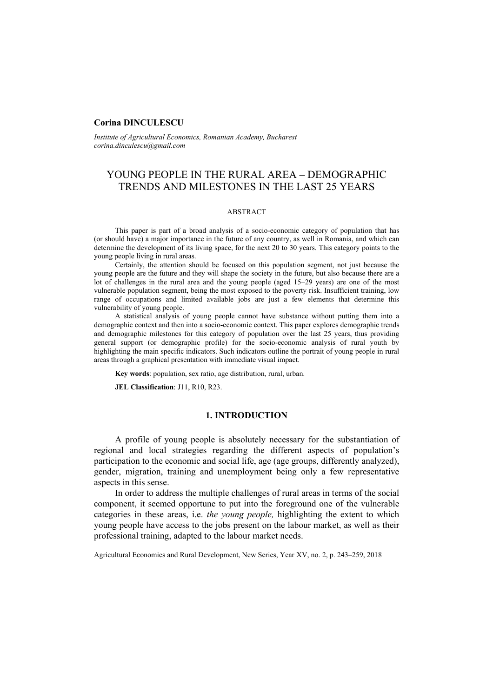#### **Corina DINCULESCU**

*Institute of Agricultural Economics, Romanian Academy, Bucharest corina.dinculescu@gmail.com* 

# YOUNG PEOPLE IN THE RURAL AREA – DEMOGRAPHIC TRENDS AND MILESTONES IN THE LAST 25 YEARS

## ABSTRACT

This paper is part of a broad analysis of a socio-economic category of population that has (or should have) a major importance in the future of any country, as well in Romania, and which can determine the development of its living space, for the next 20 to 30 years. This category points to the young people living in rural areas.

Certainly, the attention should be focused on this population segment, not just because the young people are the future and they will shape the society in the future, but also because there are a lot of challenges in the rural area and the young people (aged 15–29 years) are one of the most vulnerable population segment, being the most exposed to the poverty risk. Insufficient training, low range of occupations and limited available jobs are just a few elements that determine this vulnerability of young people.

A statistical analysis of young people cannot have substance without putting them into a demographic context and then into a socio-economic context. This paper explores demographic trends and demographic milestones for this category of population over the last 25 years, thus providing general support (or demographic profile) for the socio-economic analysis of rural youth by highlighting the main specific indicators. Such indicators outline the portrait of young people in rural areas through a graphical presentation with immediate visual impact.

**Key words**: population, sex ratio, age distribution, rural, urban.

**JEL Classification**: J11, R10, R23.

## **1. INTRODUCTION**

A profile of young people is absolutely necessary for the substantiation of regional and local strategies regarding the different aspects of population's participation to the economic and social life, age (age groups, differently analyzed), gender, migration, training and unemployment being only a few representative aspects in this sense.

In order to address the multiple challenges of rural areas in terms of the social component, it seemed opportune to put into the foreground one of the vulnerable categories in these areas, i.e. *the young people,* highlighting the extent to which young people have access to the jobs present on the labour market, as well as their professional training, adapted to the labour market needs.

Agricultural Economics and Rural Development, New Series, Year XV, no. 2, p. 243–259, 2018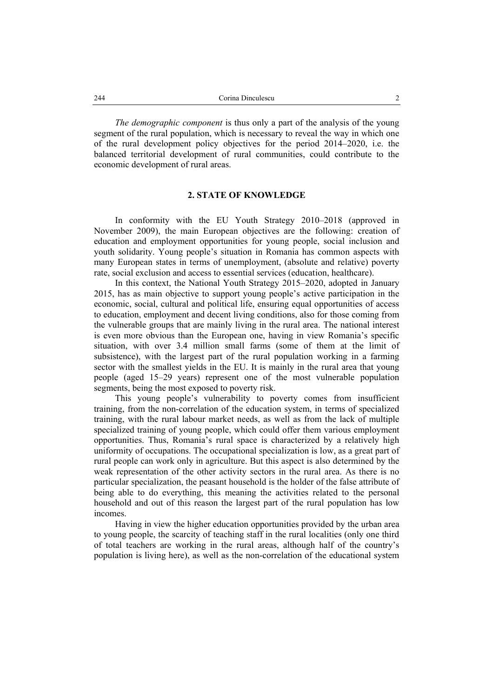*The demographic component* is thus only a part of the analysis of the young segment of the rural population, which is necessary to reveal the way in which one of the rural development policy objectives for the period 2014–2020, i.e. the balanced territorial development of rural communities, could contribute to the economic development of rural areas.

#### **2. STATE OF KNOWLEDGE**

In conformity with the EU Youth Strategy 2010–2018 (approved in November 2009), the main European objectives are the following: creation of education and employment opportunities for young people, social inclusion and youth solidarity. Young people's situation in Romania has common aspects with many European states in terms of unemployment, (absolute and relative) poverty rate, social exclusion and access to essential services (education, healthcare).

In this context, the National Youth Strategy 2015–2020, adopted in January 2015, has as main objective to support young people's active participation in the economic, social, cultural and political life, ensuring equal opportunities of access to education, employment and decent living conditions, also for those coming from the vulnerable groups that are mainly living in the rural area. The national interest is even more obvious than the European one, having in view Romania's specific situation, with over 3.4 million small farms (some of them at the limit of subsistence), with the largest part of the rural population working in a farming sector with the smallest yields in the EU. It is mainly in the rural area that young people (aged 15–29 years) represent one of the most vulnerable population segments, being the most exposed to poverty risk.

This young people's vulnerability to poverty comes from insufficient training, from the non-correlation of the education system, in terms of specialized training, with the rural labour market needs, as well as from the lack of multiple specialized training of young people, which could offer them various employment opportunities. Thus, Romania's rural space is characterized by a relatively high uniformity of occupations. The occupational specialization is low, as a great part of rural people can work only in agriculture. But this aspect is also determined by the weak representation of the other activity sectors in the rural area. As there is no particular specialization, the peasant household is the holder of the false attribute of being able to do everything, this meaning the activities related to the personal household and out of this reason the largest part of the rural population has low incomes.

Having in view the higher education opportunities provided by the urban area to young people, the scarcity of teaching staff in the rural localities (only one third of total teachers are working in the rural areas, although half of the country's population is living here), as well as the non-correlation of the educational system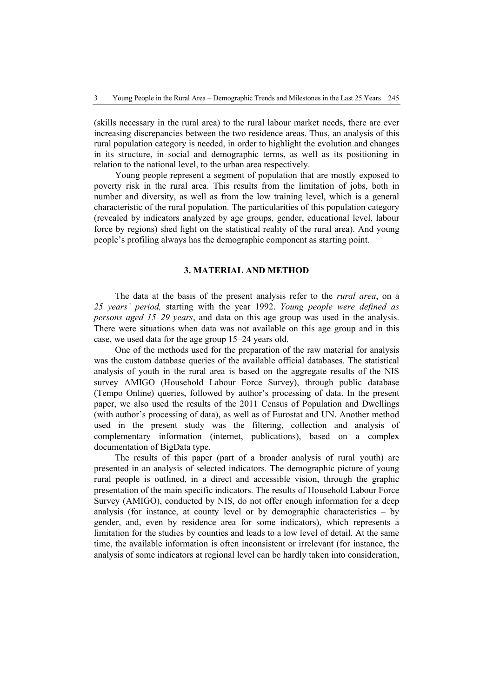(skills necessary in the rural area) to the rural labour market needs, there are ever increasing discrepancies between the two residence areas. Thus, an analysis of this rural population category is needed, in order to highlight the evolution and changes in its structure, in social and demographic terms, as well as its positioning in relation to the national level, to the urban area respectively.

Young people represent a segment of population that are mostly exposed to poverty risk in the rural area. This results from the limitation of jobs, both in number and diversity, as well as from the low training level, which is a general characteristic of the rural population. The particularities of this population category (revealed by indicators analyzed by age groups, gender, educational level, labour force by regions) shed light on the statistical reality of the rural area). And young people's profiling always has the demographic component as starting point.

# **3. MATERIAL AND METHOD**

The data at the basis of the present analysis refer to the *rural area*, on a *25 years' period,* starting with the year 1992. *Young people were defined as persons aged 15–29 years*, and data on this age group was used in the analysis. There were situations when data was not available on this age group and in this case, we used data for the age group 15–24 years old.

One of the methods used for the preparation of the raw material for analysis was the custom database queries of the available official databases. The statistical analysis of youth in the rural area is based on the aggregate results of the NIS survey AMIGO (Household Labour Force Survey), through public database (Tempo Online) queries, followed by author's processing of data. In the present paper, we also used the results of the 2011 Census of Population and Dwellings (with author's processing of data), as well as of Eurostat and UN. Another method used in the present study was the filtering, collection and analysis of complementary information (internet, publications), based on a complex documentation of BigData type.

The results of this paper (part of a broader analysis of rural youth) are presented in an analysis of selected indicators. The demographic picture of young rural people is outlined, in a direct and accessible vision, through the graphic presentation of the main specific indicators. The results of Household Labour Force Survey (AMIGO), conducted by NIS, do not offer enough information for a deep analysis (for instance, at county level or by demographic characteristics  $-$  by gender, and, even by residence area for some indicators), which represents a limitation for the studies by counties and leads to a low level of detail. At the same time, the available information is often inconsistent or irrelevant (for instance, the analysis of some indicators at regional level can be hardly taken into consideration,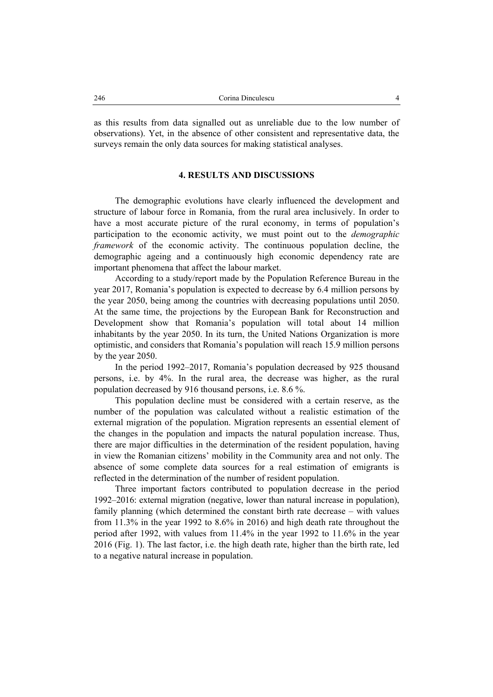as this results from data signalled out as unreliable due to the low number of observations). Yet, in the absence of other consistent and representative data, the surveys remain the only data sources for making statistical analyses.

#### **4. RESULTS AND DISCUSSIONS**

The demographic evolutions have clearly influenced the development and structure of labour force in Romania, from the rural area inclusively. In order to have a most accurate picture of the rural economy, in terms of population's participation to the economic activity, we must point out to the *demographic framework* of the economic activity. The continuous population decline, the demographic ageing and a continuously high economic dependency rate are important phenomena that affect the labour market.

According to a study/report made by the Population Reference Bureau in the year 2017, Romania's population is expected to decrease by 6.4 million persons by the year 2050, being among the countries with decreasing populations until 2050. At the same time, the projections by the European Bank for Reconstruction and Development show that Romania's population will total about 14 million inhabitants by the year 2050. In its turn, the United Nations Organization is more optimistic, and considers that Romania's population will reach 15.9 million persons by the year 2050.

In the period 1992–2017, Romania's population decreased by 925 thousand persons, i.e. by 4%. In the rural area, the decrease was higher, as the rural population decreased by 916 thousand persons, i.e. 8.6 %.

This population decline must be considered with a certain reserve, as the number of the population was calculated without a realistic estimation of the external migration of the population. Migration represents an essential element of the changes in the population and impacts the natural population increase. Thus, there are major difficulties in the determination of the resident population, having in view the Romanian citizens' mobility in the Community area and not only. The absence of some complete data sources for a real estimation of emigrants is reflected in the determination of the number of resident population.

Three important factors contributed to population decrease in the period 1992–2016: external migration (negative, lower than natural increase in population), family planning (which determined the constant birth rate decrease – with values from 11.3% in the year 1992 to 8.6% in 2016) and high death rate throughout the period after 1992, with values from 11.4% in the year 1992 to 11.6% in the year 2016 (Fig. 1). The last factor, i.e. the high death rate, higher than the birth rate, led to a negative natural increase in population.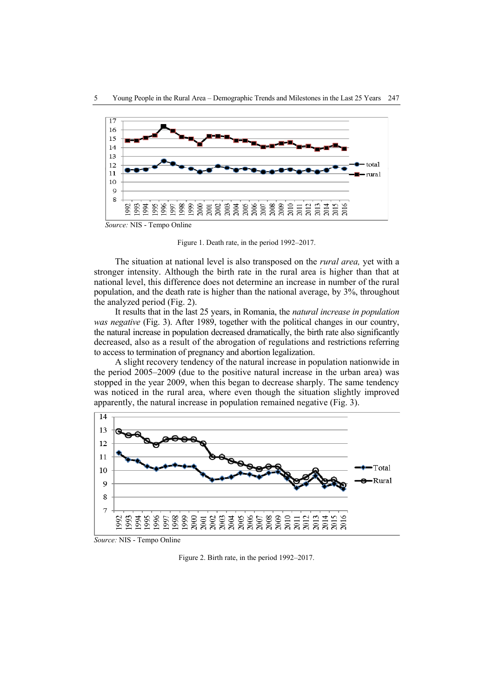

Figure 1. Death rate, in the period 1992–2017.

The situation at national level is also transposed on the *rural area,* yet with a stronger intensity. Although the birth rate in the rural area is higher than that at national level, this difference does not determine an increase in number of the rural population, and the death rate is higher than the national average, by 3%, throughout the analyzed period (Fig. 2).

It results that in the last 25 years, in Romania, the *natural increase in population was negative* (Fig. 3). After 1989, together with the political changes in our country, the natural increase in population decreased dramatically, the birth rate also significantly decreased, also as a result of the abrogation of regulations and restrictions referring to access to termination of pregnancy and abortion legalization.

A slight recovery tendency of the natural increase in population nationwide in the period 2005–2009 (due to the positive natural increase in the urban area) was stopped in the year 2009, when this began to decrease sharply. The same tendency was noticed in the rural area, where even though the situation slightly improved apparently, the natural increase in population remained negative (Fig. 3).



*Source:* NIS - Tempo Online

Figure 2. Birth rate, in the period 1992–2017.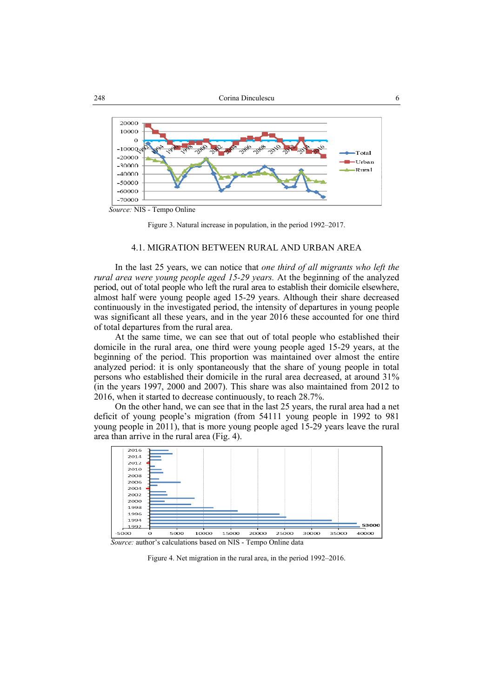



#### 4.1. MIGRATION BETWEEN RURAL AND URBAN AREA

In the last 25 years, we can notice that *one third of all migrants who left the rural area were young people aged 15-29 years.* At the beginning of the analyzed period, out of total people who left the rural area to establish their domicile elsewhere, almost half were young people aged 15-29 years. Although their share decreased continuously in the investigated period, the intensity of departures in young people was significant all these years, and in the year 2016 these accounted for one third of total departures from the rural area.

At the same time, we can see that out of total people who established their domicile in the rural area, one third were young people aged 15-29 years, at the beginning of the period. This proportion was maintained over almost the entire analyzed period: it is only spontaneously that the share of young people in total persons who established their domicile in the rural area decreased, at around 31% (in the years 1997, 2000 and 2007). This share was also maintained from 2012 to 2016, when it started to decrease continuously, to reach 28.7%.

On the other hand, we can see that in the last 25 years, the rural area had a net deficit of young people's migration (from 54111 young people in 1992 to 981 young people in 2011), that is more young people aged 15-29 years leave the rural area than arrive in the rural area (Fig. 4).



 *Source:* author's calculations based on NIS - Tempo Online data

Figure 4. Net migration in the rural area, in the period 1992–2016.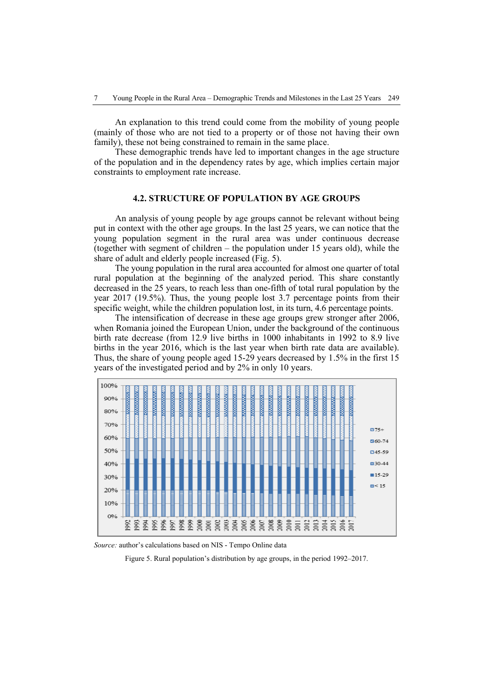An explanation to this trend could come from the mobility of young people (mainly of those who are not tied to a property or of those not having their own family), these not being constrained to remain in the same place.

These demographic trends have led to important changes in the age structure of the population and in the dependency rates by age, which implies certain major constraints to employment rate increase.

### **4.2. STRUCTURE OF POPULATION BY AGE GROUPS**

An analysis of young people by age groups cannot be relevant without being put in context with the other age groups. In the last 25 years, we can notice that the young population segment in the rural area was under continuous decrease (together with segment of children – the population under 15 years old), while the share of adult and elderly people increased (Fig. 5).

The young population in the rural area accounted for almost one quarter of total rural population at the beginning of the analyzed period. This share constantly decreased in the 25 years, to reach less than one-fifth of total rural population by the year 2017 (19.5%). Thus, the young people lost 3.7 percentage points from their specific weight, while the children population lost, in its turn, 4.6 percentage points.

The intensification of decrease in these age groups grew stronger after 2006, when Romania joined the European Union, under the background of the continuous birth rate decrease (from 12.9 live births in 1000 inhabitants in 1992 to 8.9 live births in the year 2016, which is the last year when birth rate data are available). Thus, the share of young people aged 15-29 years decreased by 1.5% in the first 15 years of the investigated period and by 2% in only 10 years.



*Source:* author's calculations based on NIS - Tempo Online data

Figure 5. Rural population's distribution by age groups, in the period 1992–2017.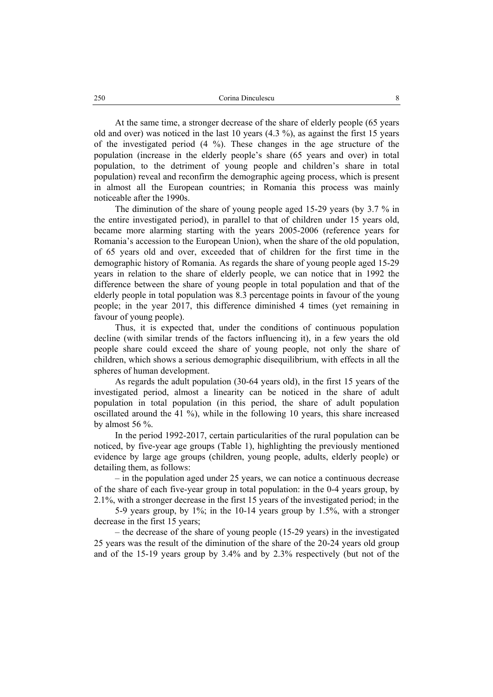At the same time, a stronger decrease of the share of elderly people (65 years old and over) was noticed in the last 10 years (4.3 %), as against the first 15 years of the investigated period (4 %). These changes in the age structure of the population (increase in the elderly people's share (65 years and over) in total population, to the detriment of young people and children's share in total population) reveal and reconfirm the demographic ageing process, which is present in almost all the European countries; in Romania this process was mainly noticeable after the 1990s.

The diminution of the share of young people aged 15-29 years (by 3.7 % in the entire investigated period), in parallel to that of children under 15 years old, became more alarming starting with the years 2005-2006 (reference years for Romania's accession to the European Union), when the share of the old population, of 65 years old and over, exceeded that of children for the first time in the demographic history of Romania. As regards the share of young people aged 15-29 years in relation to the share of elderly people, we can notice that in 1992 the difference between the share of young people in total population and that of the elderly people in total population was 8.3 percentage points in favour of the young people; in the year 2017, this difference diminished 4 times (yet remaining in favour of young people).

Thus, it is expected that, under the conditions of continuous population decline (with similar trends of the factors influencing it), in a few years the old people share could exceed the share of young people, not only the share of children, which shows a serious demographic disequilibrium, with effects in all the spheres of human development.

As regards the adult population (30-64 years old), in the first 15 years of the investigated period, almost a linearity can be noticed in the share of adult population in total population (in this period, the share of adult population oscillated around the 41 %), while in the following 10 years, this share increased by almost 56 %.

In the period 1992-2017, certain particularities of the rural population can be noticed, by five-year age groups (Table 1), highlighting the previously mentioned evidence by large age groups (children, young people, adults, elderly people) or detailing them, as follows:

– in the population aged under 25 years, we can notice a continuous decrease of the share of each five-year group in total population: in the 0-4 years group, by 2.1%, with a stronger decrease in the first 15 years of the investigated period; in the

5-9 years group, by 1%; in the 10-14 years group by 1.5%, with a stronger decrease in the first 15 years;

– the decrease of the share of young people (15-29 years) in the investigated 25 years was the result of the diminution of the share of the 20-24 years old group and of the 15-19 years group by 3.4% and by 2.3% respectively (but not of the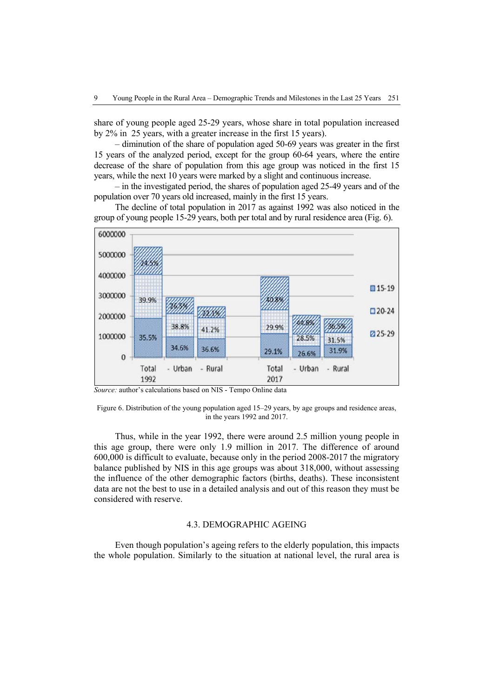share of young people aged 25-29 years, whose share in total population increased by 2% in 25 years, with a greater increase in the first 15 years).

– diminution of the share of population aged 50-69 years was greater in the first 15 years of the analyzed period, except for the group 60-64 years, where the entire decrease of the share of population from this age group was noticed in the first 15 years, while the next 10 years were marked by a slight and continuous increase.

– in the investigated period, the shares of population aged 25-49 years and of the population over 70 years old increased, mainly in the first 15 years.

The decline of total population in 2017 as against 1992 was also noticed in the group of young people 15-29 years, both per total and by rural residence area (Fig. 6).



*Source:* author's calculations based on NIS - Tempo Online data

Figure 6. Distribution of the young population aged 15–29 years, by age groups and residence areas, in the years 1992 and 2017.

Thus, while in the year 1992, there were around 2.5 million young people in this age group, there were only 1.9 million in 2017. The difference of around 600,000 is difficult to evaluate, because only in the period 2008-2017 the migratory balance published by NIS in this age groups was about 318,000, without assessing the influence of the other demographic factors (births, deaths). These inconsistent data are not the best to use in a detailed analysis and out of this reason they must be considered with reserve.

#### 4.3. DEMOGRAPHIC AGEING

Even though population's ageing refers to the elderly population, this impacts the whole population. Similarly to the situation at national level, the rural area is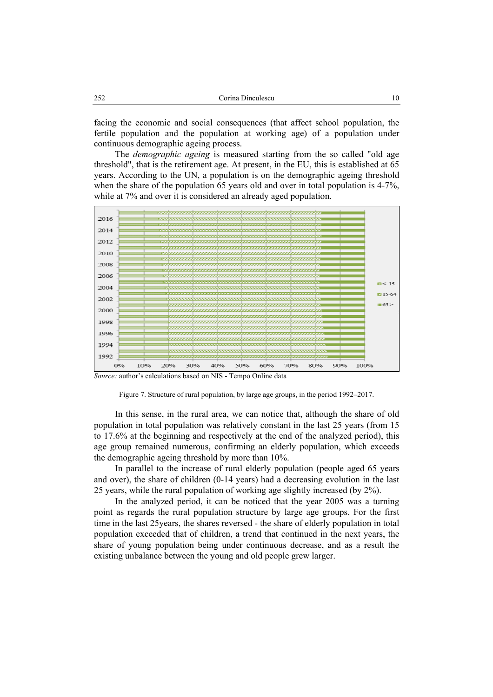| 252 | Corina Dinculescu |  |
|-----|-------------------|--|
|     |                   |  |

facing the economic and social consequences (that affect school population, the fertile population and the population at working age) of a population under continuous demographic ageing process.

The *demographic ageing* is measured starting from the so called "old age threshold", that is the retirement age. At present, in the EU, this is established at 65 years. According to the UN, a population is on the demographic ageing threshold when the share of the population 65 years old and over in total population is 4-7%, while at 7% and over it is considered an already aged population.



*Source:* author's calculations based on NIS - Tempo Online data



In this sense, in the rural area, we can notice that, although the share of old population in total population was relatively constant in the last 25 years (from 15 to 17.6% at the beginning and respectively at the end of the analyzed period), this age group remained numerous, confirming an elderly population, which exceeds the demographic ageing threshold by more than 10%.

In parallel to the increase of rural elderly population (people aged 65 years and over), the share of children (0-14 years) had a decreasing evolution in the last 25 years, while the rural population of working age slightly increased (by 2%).

In the analyzed period, it can be noticed that the year 2005 was a turning point as regards the rural population structure by large age groups. For the first time in the last 25years, the shares reversed - the share of elderly population in total population exceeded that of children, a trend that continued in the next years, the share of young population being under continuous decrease, and as a result the existing unbalance between the young and old people grew larger.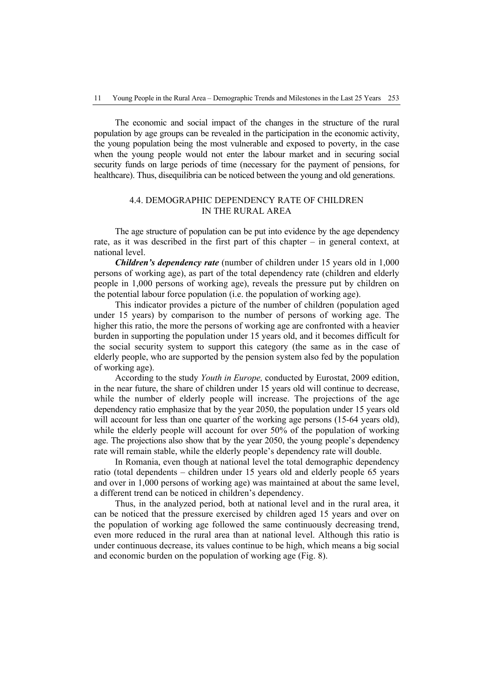The economic and social impact of the changes in the structure of the rural population by age groups can be revealed in the participation in the economic activity, the young population being the most vulnerable and exposed to poverty, in the case when the young people would not enter the labour market and in securing social security funds on large periods of time (necessary for the payment of pensions, for healthcare). Thus, disequilibria can be noticed between the young and old generations.

# 4.4. DEMOGRAPHIC DEPENDENCY RATE OF CHILDREN IN THE RURAL AREA

The age structure of population can be put into evidence by the age dependency rate, as it was described in the first part of this chapter – in general context, at national level.

*Children's dependency rate* (number of children under 15 years old in 1,000 persons of working age), as part of the total dependency rate (children and elderly people in 1,000 persons of working age), reveals the pressure put by children on the potential labour force population (i.e. the population of working age).

This indicator provides a picture of the number of children (population aged under 15 years) by comparison to the number of persons of working age. The higher this ratio, the more the persons of working age are confronted with a heavier burden in supporting the population under 15 years old, and it becomes difficult for the social security system to support this category (the same as in the case of elderly people, who are supported by the pension system also fed by the population of working age).

According to the study *Youth in Europe,* conducted by Eurostat, 2009 edition, in the near future, the share of children under 15 years old will continue to decrease, while the number of elderly people will increase. The projections of the age dependency ratio emphasize that by the year 2050, the population under 15 years old will account for less than one quarter of the working age persons (15-64 years old), while the elderly people will account for over 50% of the population of working age. The projections also show that by the year 2050, the young people's dependency rate will remain stable, while the elderly people's dependency rate will double.

In Romania, even though at national level the total demographic dependency ratio (total dependents – children under 15 years old and elderly people 65 years and over in 1,000 persons of working age) was maintained at about the same level, a different trend can be noticed in children's dependency.

Thus, in the analyzed period, both at national level and in the rural area, it can be noticed that the pressure exercised by children aged 15 years and over on the population of working age followed the same continuously decreasing trend, even more reduced in the rural area than at national level. Although this ratio is under continuous decrease, its values continue to be high, which means a big social and economic burden on the population of working age (Fig. 8).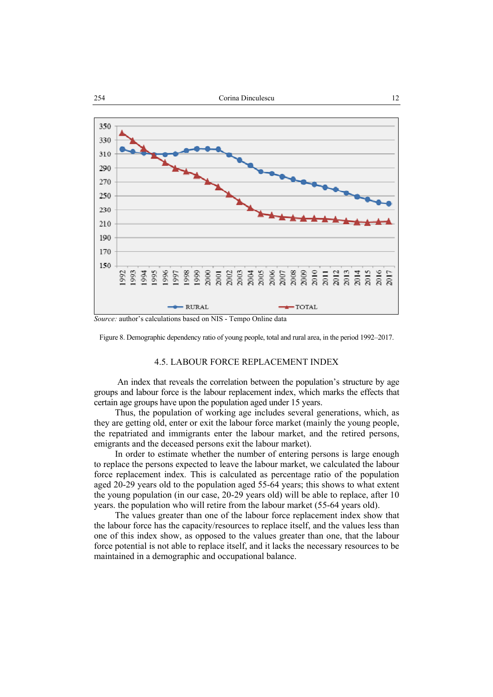

Figure 8. Demographic dependency ratio of young people, total and rural area, in the period 1992–2017.

#### 4.5. LABOUR FORCE REPLACEMENT INDEX

 An index that reveals the correlation between the population's structure by age groups and labour force is the labour replacement index, which marks the effects that certain age groups have upon the population aged under 15 years.

Thus, the population of working age includes several generations, which, as they are getting old, enter or exit the labour force market (mainly the young people, the repatriated and immigrants enter the labour market, and the retired persons, emigrants and the deceased persons exit the labour market).

In order to estimate whether the number of entering persons is large enough to replace the persons expected to leave the labour market, we calculated the labour force replacement index*.* This is calculated as percentage ratio of the population aged 20-29 years old to the population aged 55-64 years; this shows to what extent the young population (in our case, 20-29 years old) will be able to replace, after 10 years. the population who will retire from the labour market (55-64 years old).

The values greater than one of the labour force replacement index show that the labour force has the capacity/resources to replace itself, and the values less than one of this index show, as opposed to the values greater than one, that the labour force potential is not able to replace itself, and it lacks the necessary resources to be maintained in a demographic and occupational balance.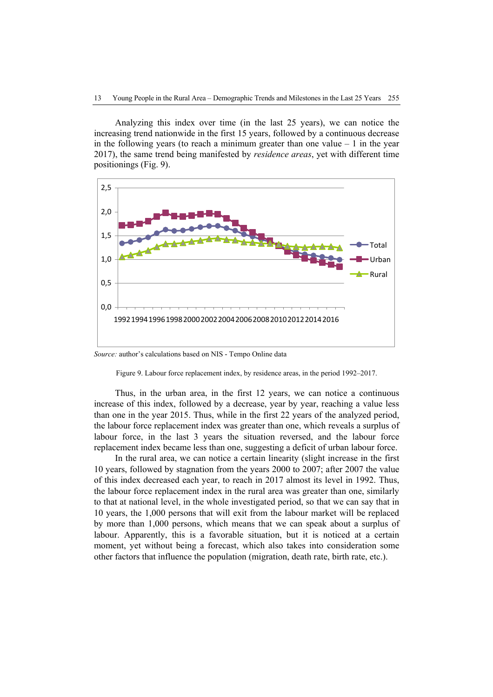Analyzing this index over time (in the last 25 years), we can notice the increasing trend nationwide in the first 15 years, followed by a continuous decrease in the following years (to reach a minimum greater than one value  $-1$  in the year 2017), the same trend being manifested by *residence areas*, yet with different time positionings (Fig. 9).



*Source:* author's calculations based on NIS - Tempo Online data

Figure 9. Labour force replacement index, by residence areas, in the period 1992–2017.

Thus, in the urban area, in the first 12 years, we can notice a continuous increase of this index, followed by a decrease, year by year, reaching a value less than one in the year 2015. Thus, while in the first 22 years of the analyzed period, the labour force replacement index was greater than one, which reveals a surplus of labour force, in the last 3 years the situation reversed, and the labour force replacement index became less than one, suggesting a deficit of urban labour force.

In the rural area, we can notice a certain linearity (slight increase in the first 10 years, followed by stagnation from the years 2000 to 2007; after 2007 the value of this index decreased each year, to reach in 2017 almost its level in 1992. Thus, the labour force replacement index in the rural area was greater than one, similarly to that at national level, in the whole investigated period, so that we can say that in 10 years, the 1,000 persons that will exit from the labour market will be replaced by more than 1,000 persons, which means that we can speak about a surplus of labour. Apparently, this is a favorable situation, but it is noticed at a certain moment, yet without being a forecast, which also takes into consideration some other factors that influence the population (migration, death rate, birth rate, etc.).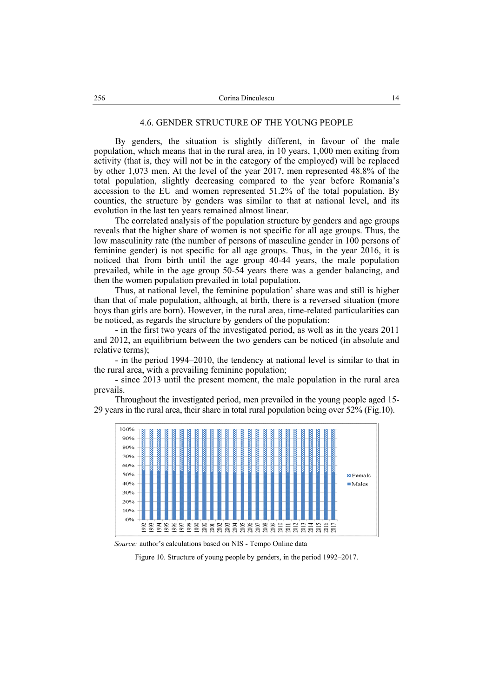#### 4.6. GENDER STRUCTURE OF THE YOUNG PEOPLE

By genders, the situation is slightly different, in favour of the male population, which means that in the rural area, in 10 years, 1,000 men exiting from activity (that is, they will not be in the category of the employed) will be replaced by other 1,073 men. At the level of the year 2017, men represented 48.8% of the total population, slightly decreasing compared to the year before Romania's accession to the EU and women represented 51.2% of the total population. By counties, the structure by genders was similar to that at national level, and its evolution in the last ten years remained almost linear.

The correlated analysis of the population structure by genders and age groups reveals that the higher share of women is not specific for all age groups. Thus, the low masculinity rate (the number of persons of masculine gender in 100 persons of feminine gender) is not specific for all age groups. Thus, in the year 2016, it is noticed that from birth until the age group 40-44 years, the male population prevailed, while in the age group 50-54 years there was a gender balancing, and then the women population prevailed in total population.

Thus, at national level, the feminine population' share was and still is higher than that of male population, although, at birth, there is a reversed situation (more boys than girls are born). However, in the rural area, time-related particularities can be noticed, as regards the structure by genders of the population:

- in the first two years of the investigated period, as well as in the years 2011 and 2012, an equilibrium between the two genders can be noticed (in absolute and relative terms);

- in the period 1994–2010, the tendency at national level is similar to that in the rural area, with a prevailing feminine population;

- since 2013 until the present moment, the male population in the rural area prevails.

Throughout the investigated period, men prevailed in the young people aged 15- 29 years in the rural area, their share in total rural population being over 52% (Fig.10).



 *Source:* author's calculations based on NIS - Tempo Online data

Figure 10. Structure of young people by genders, in the period 1992–2017.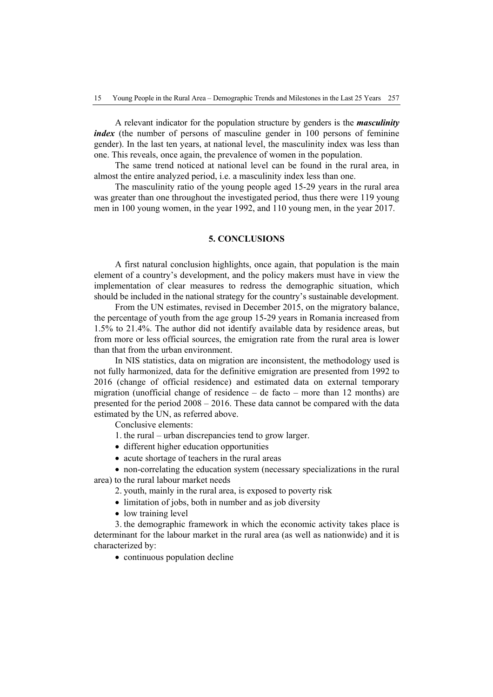A relevant indicator for the population structure by genders is the *masculinity index* (the number of persons of masculine gender in 100 persons of feminine gender). In the last ten years, at national level, the masculinity index was less than one. This reveals, once again, the prevalence of women in the population.

The same trend noticed at national level can be found in the rural area, in almost the entire analyzed period, i.e. a masculinity index less than one.

The masculinity ratio of the young people aged 15-29 years in the rural area was greater than one throughout the investigated period, thus there were 119 young men in 100 young women, in the year 1992, and 110 young men, in the year 2017.

## **5. CONCLUSIONS**

A first natural conclusion highlights, once again, that population is the main element of a country's development, and the policy makers must have in view the implementation of clear measures to redress the demographic situation, which should be included in the national strategy for the country's sustainable development.

From the UN estimates, revised in December 2015, on the migratory balance, the percentage of youth from the age group 15-29 years in Romania increased from 1.5% to 21.4%. The author did not identify available data by residence areas, but from more or less official sources, the emigration rate from the rural area is lower than that from the urban environment.

In NIS statistics, data on migration are inconsistent, the methodology used is not fully harmonized, data for the definitive emigration are presented from 1992 to 2016 (change of official residence) and estimated data on external temporary migration (unofficial change of residence  $-$  de facto  $-$  more than 12 months) are presented for the period 2008 – 2016. These data cannot be compared with the data estimated by the UN, as referred above.

Conclusive elements:

- 1. the rural urban discrepancies tend to grow larger.
- different higher education opportunities
- acute shortage of teachers in the rural areas

• non-correlating the education system (necessary specializations in the rural area) to the rural labour market needs

- 2. youth, mainly in the rural area, is exposed to poverty risk
- limitation of jobs, both in number and as job diversity
- low training level

3. the demographic framework in which the economic activity takes place is determinant for the labour market in the rural area (as well as nationwide) and it is characterized by:

• continuous population decline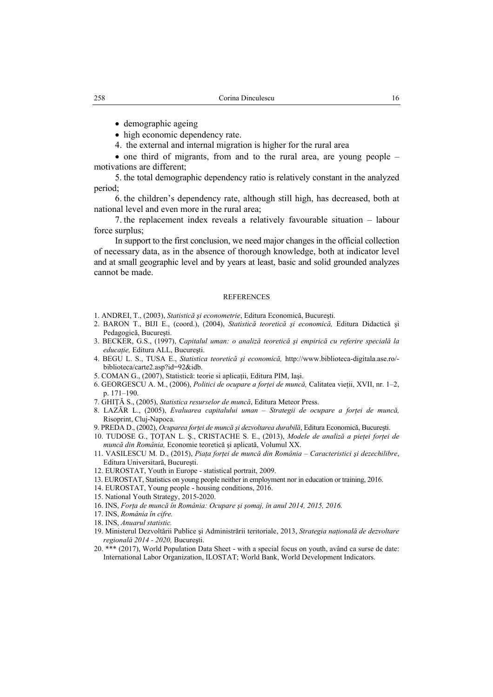- demographic ageing
- high economic dependency rate.
- 4. the external and internal migration is higher for the rural area

• one third of migrants, from and to the rural area, are young people – motivations are different;

5. the total demographic dependency ratio is relatively constant in the analyzed period;

6. the children's dependency rate, although still high, has decreased, both at national level and even more in the rural area;

7. the replacement index reveals a relatively favourable situation – labour force surplus;

In support to the first conclusion, we need major changes in the official collection of necessary data, as in the absence of thorough knowledge, both at indicator level and at small geographic level and by years at least, basic and solid grounded analyzes cannot be made.

#### **REFERENCES**

- 1. ANDREI, T., (2003), *Statistică şi econometrie*, Editura Economică, Bucureşti.
- 2. BARON T., BIJI E., (coord.), (2004), *Statistică teoretică şi economică,* Editura Didactică şi Pedagogică, Bucureşti.
- 3. BECKER, G.S., (1997), C*apitalul uman: o analiză teoretică şi empirică cu referire specială la educaţie,* Editura ALL, Bucureşti.
- 4. BEGU L. S., TUSA E., *Statistica teoretică şi economică,* http://www.biblioteca-digitala.ase.ro/ biblioteca/carte2.asp?id=92&idb.
- 5. COMAN G., (2007), Statistică: teorie si aplicații, Editura PIM, Iaşi.
- 6. GEORGESCU A. M., (2006), *Politici de ocupare a forţei de muncă,* Calitatea vieţii, XVII, nr. 1–2, p. 171–190.
- 7. GHIŢĂ S., (2005), *Statistica resurselor de muncă*, Editura Meteor Press.
- 8. LAZĂR L., (2005), *Evaluarea capitalului uman Strategii de ocupare a forţei de muncă,*  Risoprint, Cluj-Napoca.
- 9. PREDA D., (2002), *Ocuparea forţei de muncă şi dezvoltarea durabilă*, Editura Economică, Bucureşti.
- 10. TUDOSE G., ŢOŢAN L. Ş., CRISTACHE S. E., (2013), *Modele de analiză a pieţei forţei de muncă din România,* Economie teoretică şi aplicată, Volumul XX.
- 11. VASILESCU M. D., (2015), *Piaţa forţei de muncă din România Caracteristici şi dezechilibre*, Editura Universitară, Bucureşti.
- 12. EUROSTAT, Youth in Europe statistical portrait, 2009.
- 13. EUROSTAT, Statistics on young people neither in employment nor in education or training, 2016.
- 14. EUROSTAT, Young people housing conditions, 2016.
- 15. National Youth Strategy, 2015-2020.
- 16. INS, *Forţa de muncă în România: Ocupare şi şomaj, în anul 2014, 2015, 2016.*
- 17. INS, *România în cifre.*
- 18. INS, *Anuarul statistic.*
- 19. Ministerul Dezvoltării Publice şi Administrării teritoriale, 2013, *Strategia națională de dezvoltare regională 2014 - 2020,* Bucureşti.
- 20. \*\*\* (2017), World Population Data Sheet with a special focus on youth, având ca surse de date: International Labor Organization, ILOSTAT; World Bank, World Development Indicators.